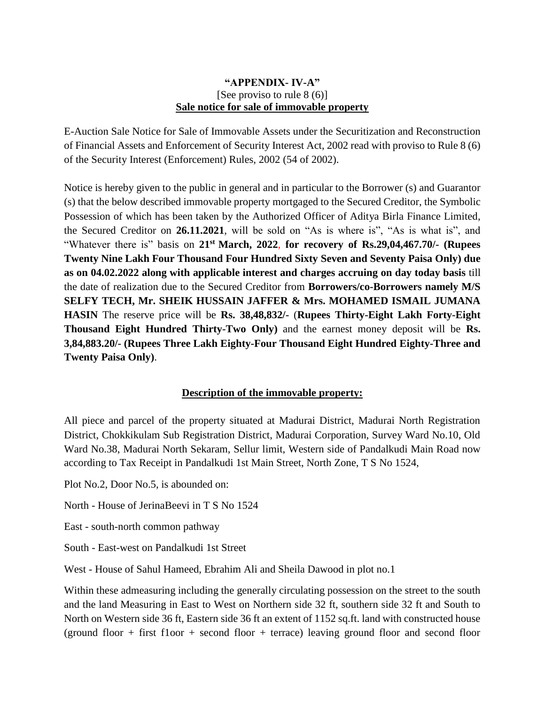## **"APPENDIX- IV-A"** [See proviso to rule 8 (6)] **Sale notice for sale of immovable property**

E-Auction Sale Notice for Sale of Immovable Assets under the Securitization and Reconstruction of Financial Assets and Enforcement of Security Interest Act, 2002 read with proviso to Rule 8 (6) of the Security Interest (Enforcement) Rules, 2002 (54 of 2002).

Notice is hereby given to the public in general and in particular to the Borrower (s) and Guarantor (s) that the below described immovable property mortgaged to the Secured Creditor, the Symbolic Possession of which has been taken by the Authorized Officer of Aditya Birla Finance Limited, the Secured Creditor on **26.11.2021**, will be sold on "As is where is", "As is what is", and "Whatever there is" basis on **21st March, 2022**, **for recovery of Rs.29,04,467.70/- (Rupees Twenty Nine Lakh Four Thousand Four Hundred Sixty Seven and Seventy Paisa Only) due as on 04.02.2022 along with applicable interest and charges accruing on day today basis** till the date of realization due to the Secured Creditor from **Borrowers/co-Borrowers namely M/S SELFY TECH, Mr. SHEIK HUSSAIN JAFFER & Mrs. MOHAMED ISMAIL JUMANA HASIN** The reserve price will be **Rs. 38,48,832/-** (**Rupees Thirty-Eight Lakh Forty-Eight Thousand Eight Hundred Thirty-Two Only)** and the earnest money deposit will be **Rs. 3,84,883.20/- (Rupees Three Lakh Eighty-Four Thousand Eight Hundred Eighty-Three and Twenty Paisa Only)**.

## **Description of the immovable property:**

All piece and parcel of the property situated at Madurai District, Madurai North Registration District, Chokkikulam Sub Registration District, Madurai Corporation, Survey Ward No.10, Old Ward No.38, Madurai North Sekaram, Sellur limit, Western side of Pandalkudi Main Road now according to Tax Receipt in Pandalkudi 1st Main Street, North Zone, T S No 1524,

Plot No.2, Door No.5, is abounded on:

North - House of JerinaBeevi in T S No 1524

East - south-north common pathway

South - East-west on Pandalkudi 1st Street

West - House of Sahul Hameed, Ebrahim Ali and Sheila Dawood in plot no.1

Within these admeasuring including the generally circulating possession on the street to the south and the land Measuring in East to West on Northern side 32 ft, southern side 32 ft and South to North on Western side 36 ft, Eastern side 36 ft an extent of 1152 sq.ft. land with constructed house (ground floor + first floor + second floor + terrace) leaving ground floor and second floor